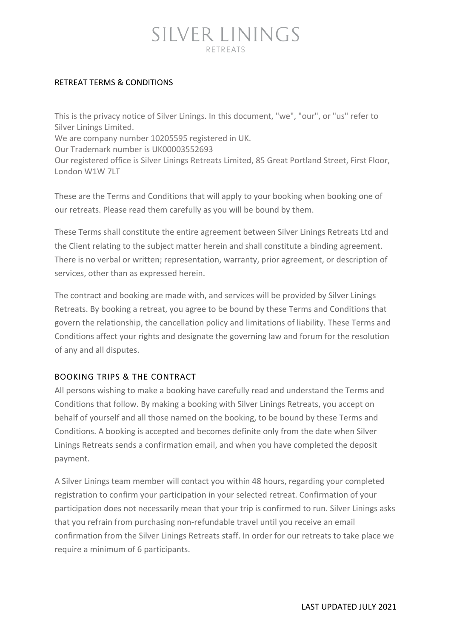#### RETREAT TERMS & CONDITIONS

This is the privacy notice of Silver Linings. In this document, "we", "our", or "us" refer to Silver Linings Limited. We are company number 10205595 registered in UK. Our Trademark number is UK00003552693 Our registered office is Silver Linings Retreats Limited, 85 Great Portland Street, First Floor, London W1W 7LT

These are the Terms and Conditions that will apply to your booking when booking one of our retreats. Please read them carefully as you will be bound by them.

These Terms shall constitute the entire agreement between Silver Linings Retreats Ltd and the Client relating to the subject matter herein and shall constitute a binding agreement. There is no verbal or written; representation, warranty, prior agreement, or description of services, other than as expressed herein.

The contract and booking are made with, and services will be provided by Silver Linings Retreats. By booking a retreat, you agree to be bound by these Terms and Conditions that govern the relationship, the cancellation policy and limitations of liability. These Terms and Conditions affect your rights and designate the governing law and forum for the resolution of any and all disputes.

#### BOOKING TRIPS & THE CONTRACT

All persons wishing to make a booking have carefully read and understand the Terms and Conditions that follow. By making a booking with Silver Linings Retreats, you accept on behalf of yourself and all those named on the booking, to be bound by these Terms and Conditions. A booking is accepted and becomes definite only from the date when Silver Linings Retreats sends a confirmation email, and when you have completed the deposit payment.

A Silver Linings team member will contact you within 48 hours, regarding your completed registration to confirm your participation in your selected retreat. Confirmation of your participation does not necessarily mean that your trip is confirmed to run. Silver Linings asks that you refrain from purchasing non-refundable travel until you receive an email confirmation from the Silver Linings Retreats staff. In order for our retreats to take place we require a minimum of 6 participants.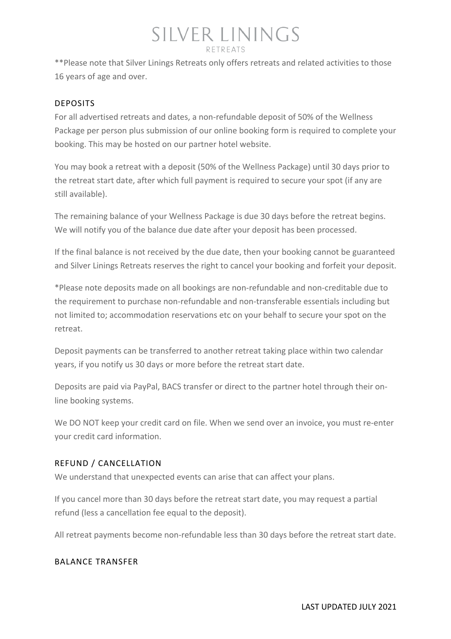\*\*Please note that Silver Linings Retreats only offers retreats and related activities to those 16 years of age and over.

#### DEPOSITS

For all advertised retreats and dates, a non-refundable deposit of 50% of the Wellness Package per person plus submission of our online booking form is required to complete your booking. This may be hosted on our partner hotel website.

You may book a retreat with a deposit (50% of the Wellness Package) until 30 days prior to the retreat start date, after which full payment is required to secure your spot (if any are still available).

The remaining balance of your Wellness Package is due 30 days before the retreat begins. We will notify you of the balance due date after your deposit has been processed.

If the final balance is not received by the due date, then your booking cannot be guaranteed and Silver Linings Retreats reserves the right to cancel your booking and forfeit your deposit.

\*Please note deposits made on all bookings are non-refundable and non-creditable due to the requirement to purchase non-refundable and non-transferable essentials including but not limited to; accommodation reservations etc on your behalf to secure your spot on the retreat.

Deposit payments can be transferred to another retreat taking place within two calendar years, if you notify us 30 days or more before the retreat start date.

Deposits are paid via PayPal, BACS transfer or direct to the partner hotel through their online booking systems.

We DO NOT keep your credit card on file. When we send over an invoice, you must re-enter your credit card information.

#### REFUND / CANCELLATION

We understand that unexpected events can arise that can affect your plans.

If you cancel more than 30 days before the retreat start date, you may request a partial refund (less a cancellation fee equal to the deposit).

All retreat payments become non-refundable less than 30 days before the retreat start date.

#### BALANCE TRANSFER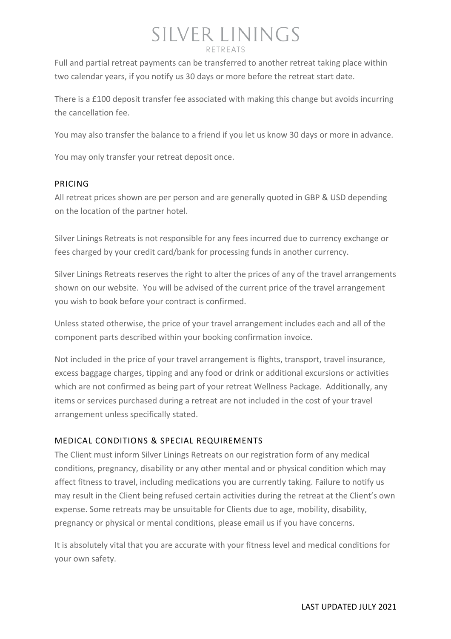Full and partial retreat payments can be transferred to another retreat taking place within two calendar years, if you notify us 30 days or more before the retreat start date.

There is a £100 deposit transfer fee associated with making this change but avoids incurring the cancellation fee.

You may also transfer the balance to a friend if you let us know 30 days or more in advance.

You may only transfer your retreat deposit once.

#### PRICING

All retreat prices shown are per person and are generally quoted in GBP & USD depending on the location of the partner hotel.

Silver Linings Retreats is not responsible for any fees incurred due to currency exchange or fees charged by your credit card/bank for processing funds in another currency.

Silver Linings Retreats reserves the right to alter the prices of any of the travel arrangements shown on our website. You will be advised of the current price of the travel arrangement you wish to book before your contract is confirmed.

Unless stated otherwise, the price of your travel arrangement includes each and all of the component parts described within your booking confirmation invoice.

Not included in the price of your travel arrangement is flights, transport, travel insurance, excess baggage charges, tipping and any food or drink or additional excursions or activities which are not confirmed as being part of your retreat Wellness Package. Additionally, any items or services purchased during a retreat are not included in the cost of your travel arrangement unless specifically stated.

#### MEDICAL CONDITIONS & SPECIAL REQUIREMENTS

The Client must inform Silver Linings Retreats on our registration form of any medical conditions, pregnancy, disability or any other mental and or physical condition which may affect fitness to travel, including medications you are currently taking. Failure to notify us may result in the Client being refused certain activities during the retreat at the Client's own expense. Some retreats may be unsuitable for Clients due to age, mobility, disability, pregnancy or physical or mental conditions, please email us if you have concerns.

It is absolutely vital that you are accurate with your fitness level and medical conditions for your own safety.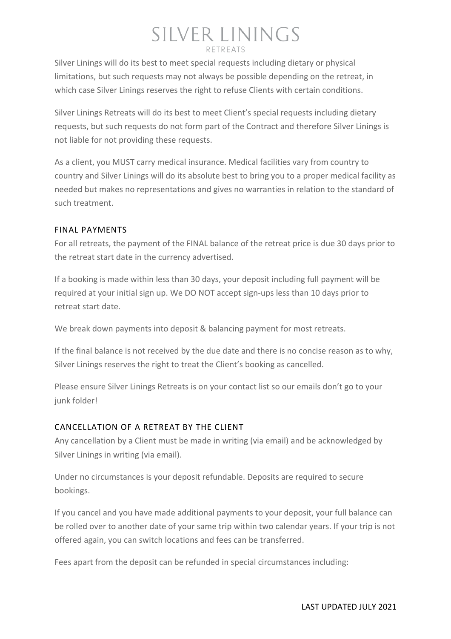Silver Linings will do its best to meet special requests including dietary or physical limitations, but such requests may not always be possible depending on the retreat, in which case Silver Linings reserves the right to refuse Clients with certain conditions.

Silver Linings Retreats will do its best to meet Client's special requests including dietary requests, but such requests do not form part of the Contract and therefore Silver Linings is not liable for not providing these requests.

As a client, you MUST carry medical insurance. Medical facilities vary from country to country and Silver Linings will do its absolute best to bring you to a proper medical facility as needed but makes no representations and gives no warranties in relation to the standard of such treatment.

#### FINAL PAYMENTS

For all retreats, the payment of the FINAL balance of the retreat price is due 30 days prior to the retreat start date in the currency advertised.

If a booking is made within less than 30 days, your deposit including full payment will be required at your initial sign up. We DO NOT accept sign-ups less than 10 days prior to retreat start date.

We break down payments into deposit & balancing payment for most retreats.

If the final balance is not received by the due date and there is no concise reason as to why, Silver Linings reserves the right to treat the Client's booking as cancelled.

Please ensure Silver Linings Retreats is on your contact list so our emails don't go to your junk folder!

#### CANCELLATION OF A RETREAT BY THE CLIENT

Any cancellation by a Client must be made in writing (via email) and be acknowledged by Silver Linings in writing (via email).

Under no circumstances is your deposit refundable. Deposits are required to secure bookings.

If you cancel and you have made additional payments to your deposit, your full balance can be rolled over to another date of your same trip within two calendar years. If your trip is not offered again, you can switch locations and fees can be transferred.

Fees apart from the deposit can be refunded in special circumstances including: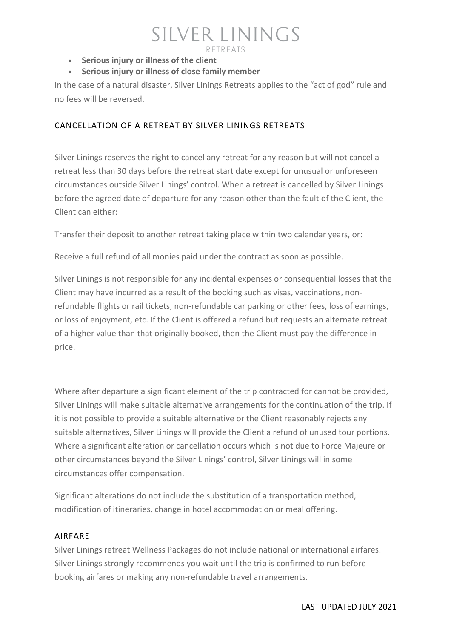- **Serious injury or illness of the client**
- **Serious injury or illness of close family member**

In the case of a natural disaster, Silver Linings Retreats applies to the "act of god" rule and no fees will be reversed.

#### CANCELLATION OF A RETREAT BY SILVER LININGS RETREATS

Silver Linings reserves the right to cancel any retreat for any reason but will not cancel a retreat less than 30 days before the retreat start date except for unusual or unforeseen circumstances outside Silver Linings' control. When a retreat is cancelled by Silver Linings before the agreed date of departure for any reason other than the fault of the Client, the Client can either:

Transfer their deposit to another retreat taking place within two calendar years, or:

Receive a full refund of all monies paid under the contract as soon as possible.

Silver Linings is not responsible for any incidental expenses or consequential losses that the Client may have incurred as a result of the booking such as visas, vaccinations, nonrefundable flights or rail tickets, non-refundable car parking or other fees, loss of earnings, or loss of enjoyment, etc. If the Client is offered a refund but requests an alternate retreat of a higher value than that originally booked, then the Client must pay the difference in price.

Where after departure a significant element of the trip contracted for cannot be provided, Silver Linings will make suitable alternative arrangements for the continuation of the trip. If it is not possible to provide a suitable alternative or the Client reasonably rejects any suitable alternatives, Silver Linings will provide the Client a refund of unused tour portions. Where a significant alteration or cancellation occurs which is not due to Force Majeure or other circumstances beyond the Silver Linings' control, Silver Linings will in some circumstances offer compensation.

Significant alterations do not include the substitution of a transportation method, modification of itineraries, change in hotel accommodation or meal offering.

#### AIRFARE

Silver Linings retreat Wellness Packages do not include national or international airfares. Silver Linings strongly recommends you wait until the trip is confirmed to run before booking airfares or making any non-refundable travel arrangements.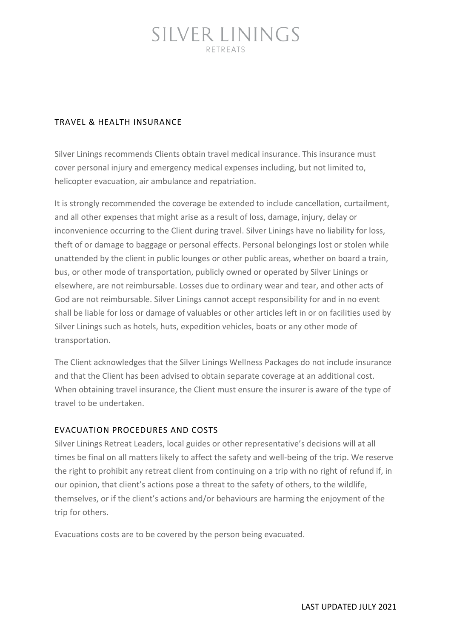#### TRAVEL & HEALTH INSURANCE

Silver Linings recommends Clients obtain travel medical insurance. This insurance must cover personal injury and emergency medical expenses including, but not limited to, helicopter evacuation, air ambulance and repatriation.

It is strongly recommended the coverage be extended to include cancellation, curtailment, and all other expenses that might arise as a result of loss, damage, injury, delay or inconvenience occurring to the Client during travel. Silver Linings have no liability for loss, theft of or damage to baggage or personal effects. Personal belongings lost or stolen while unattended by the client in public lounges or other public areas, whether on board a train, bus, or other mode of transportation, publicly owned or operated by Silver Linings or elsewhere, are not reimbursable. Losses due to ordinary wear and tear, and other acts of God are not reimbursable. Silver Linings cannot accept responsibility for and in no event shall be liable for loss or damage of valuables or other articles left in or on facilities used by Silver Linings such as hotels, huts, expedition vehicles, boats or any other mode of transportation.

The Client acknowledges that the Silver Linings Wellness Packages do not include insurance and that the Client has been advised to obtain separate coverage at an additional cost. When obtaining travel insurance, the Client must ensure the insurer is aware of the type of travel to be undertaken.

#### EVACUATION PROCEDURES AND COSTS

Silver Linings Retreat Leaders, local guides or other representative's decisions will at all times be final on all matters likely to affect the safety and well-being of the trip. We reserve the right to prohibit any retreat client from continuing on a trip with no right of refund if, in our opinion, that client's actions pose a threat to the safety of others, to the wildlife, themselves, or if the client's actions and/or behaviours are harming the enjoyment of the trip for others.

Evacuations costs are to be covered by the person being evacuated.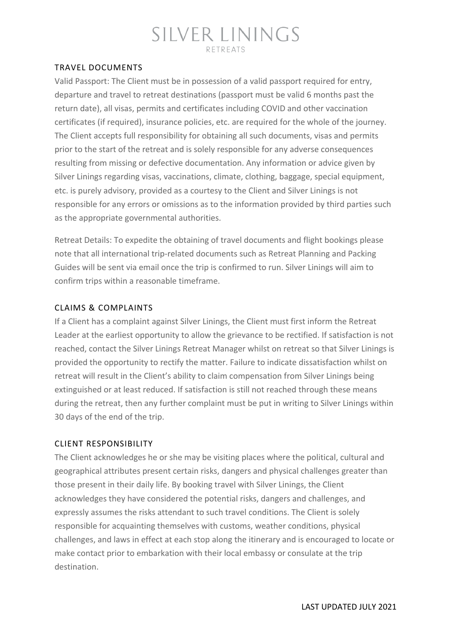#### TRAVEL DOCUMENTS

Valid Passport: The Client must be in possession of a valid passport required for entry, departure and travel to retreat destinations (passport must be valid 6 months past the return date), all visas, permits and certificates including COVID and other vaccination certificates (if required), insurance policies, etc. are required for the whole of the journey. The Client accepts full responsibility for obtaining all such documents, visas and permits prior to the start of the retreat and is solely responsible for any adverse consequences resulting from missing or defective documentation. Any information or advice given by Silver Linings regarding visas, vaccinations, climate, clothing, baggage, special equipment, etc. is purely advisory, provided as a courtesy to the Client and Silver Linings is not responsible for any errors or omissions as to the information provided by third parties such as the appropriate governmental authorities.

Retreat Details: To expedite the obtaining of travel documents and flight bookings please note that all international trip-related documents such as Retreat Planning and Packing Guides will be sent via email once the trip is confirmed to run. Silver Linings will aim to confirm trips within a reasonable timeframe.

#### CLAIMS & COMPLAINTS

If a Client has a complaint against Silver Linings, the Client must first inform the Retreat Leader at the earliest opportunity to allow the grievance to be rectified. If satisfaction is not reached, contact the Silver Linings Retreat Manager whilst on retreat so that Silver Linings is provided the opportunity to rectify the matter. Failure to indicate dissatisfaction whilst on retreat will result in the Client's ability to claim compensation from Silver Linings being extinguished or at least reduced. If satisfaction is still not reached through these means during the retreat, then any further complaint must be put in writing to Silver Linings within 30 days of the end of the trip.

#### CLIENT RESPONSIBILITY

The Client acknowledges he or she may be visiting places where the political, cultural and geographical attributes present certain risks, dangers and physical challenges greater than those present in their daily life. By booking travel with Silver Linings, the Client acknowledges they have considered the potential risks, dangers and challenges, and expressly assumes the risks attendant to such travel conditions. The Client is solely responsible for acquainting themselves with customs, weather conditions, physical challenges, and laws in effect at each stop along the itinerary and is encouraged to locate or make contact prior to embarkation with their local embassy or consulate at the trip destination.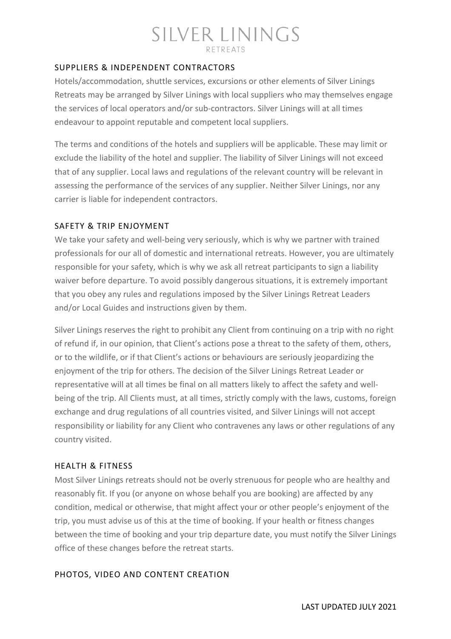#### SUPPLIERS & INDEPENDENT CONTRACTORS

Hotels/accommodation, shuttle services, excursions or other elements of Silver Linings Retreats may be arranged by Silver Linings with local suppliers who may themselves engage the services of local operators and/or sub-contractors. Silver Linings will at all times endeavour to appoint reputable and competent local suppliers.

The terms and conditions of the hotels and suppliers will be applicable. These may limit or exclude the liability of the hotel and supplier. The liability of Silver Linings will not exceed that of any supplier. Local laws and regulations of the relevant country will be relevant in assessing the performance of the services of any supplier. Neither Silver Linings, nor any carrier is liable for independent contractors.

#### SAFETY & TRIP ENJOYMENT

We take your safety and well-being very seriously, which is why we partner with trained professionals for our all of domestic and international retreats. However, you are ultimately responsible for your safety, which is why we ask all retreat participants to sign a liability waiver before departure. To avoid possibly dangerous situations, it is extremely important that you obey any rules and regulations imposed by the Silver Linings Retreat Leaders and/or Local Guides and instructions given by them.

Silver Linings reserves the right to prohibit any Client from continuing on a trip with no right of refund if, in our opinion, that Client's actions pose a threat to the safety of them, others, or to the wildlife, or if that Client's actions or behaviours are seriously jeopardizing the enjoyment of the trip for others. The decision of the Silver Linings Retreat Leader or representative will at all times be final on all matters likely to affect the safety and wellbeing of the trip. All Clients must, at all times, strictly comply with the laws, customs, foreign exchange and drug regulations of all countries visited, and Silver Linings will not accept responsibility or liability for any Client who contravenes any laws or other regulations of any country visited.

#### HEALTH & FITNESS

Most Silver Linings retreats should not be overly strenuous for people who are healthy and reasonably fit. If you (or anyone on whose behalf you are booking) are affected by any condition, medical or otherwise, that might affect your or other people's enjoyment of the trip, you must advise us of this at the time of booking. If your health or fitness changes between the time of booking and your trip departure date, you must notify the Silver Linings office of these changes before the retreat starts.

#### PHOTOS, VIDEO AND CONTENT CREATION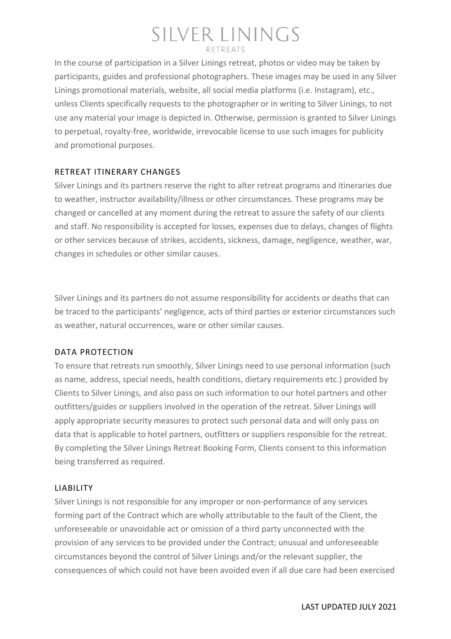In the course of participation in a Silver Linings retreat, photos or video may be taken by participants, guides and professional photographers. These images may be used in any Silver Linings promotional materials, website, all social media platforms (i.e. Instagram), etc., unless Clients specifically requests to the photographer or in writing to Silver Linings, to not use any material your image is depicted in. Otherwise, permission is granted to Silver Linings to perpetual, royalty-free, worldwide, irrevocable license to use such images for publicity and promotional purposes.

#### RETREAT ITINERARY CHANGES

Silver Linings and its partners reserve the right to alter retreat programs and itineraries due to weather, instructor availability/illness or other circumstances. These programs may be changed or cancelled at any moment during the retreat to assure the safety of our clients and staff. No responsibility is accepted for losses, expenses due to delays, changes of flights or other services because of strikes, accidents, sickness, damage, negligence, weather, war, changes in schedules or other similar causes.

Silver Linings and its partners do not assume responsibility for accidents or deaths that can be traced to the participants' negligence, acts of third parties or exterior circumstances such as weather, natural occurrences, ware or other similar causes.

#### DATA PROTECTION

To ensure that retreats run smoothly, Silver Linings need to use personal information (such as name, address, special needs, health conditions, dietary requirements etc.) provided by Clients to Silver Linings, and also pass on such information to our hotel partners and other outfitters/guides or suppliers involved in the operation of the retreat. Silver Linings will apply appropriate security measures to protect such personal data and will only pass on data that is applicable to hotel partners, outfitters or suppliers responsible for the retreat. By completing the Silver Linings Retreat Booking Form, Clients consent to this information being transferred as required.

#### LIABILITY

Silver Linings is not responsible for any improper or non-performance of any services forming part of the Contract which are wholly attributable to the fault of the Client, the unforeseeable or unavoidable act or omission of a third party unconnected with the provision of any services to be provided under the Contract; unusual and unforeseeable circumstances beyond the control of Silver Linings and/or the relevant supplier, the consequences of which could not have been avoided even if all due care had been exercised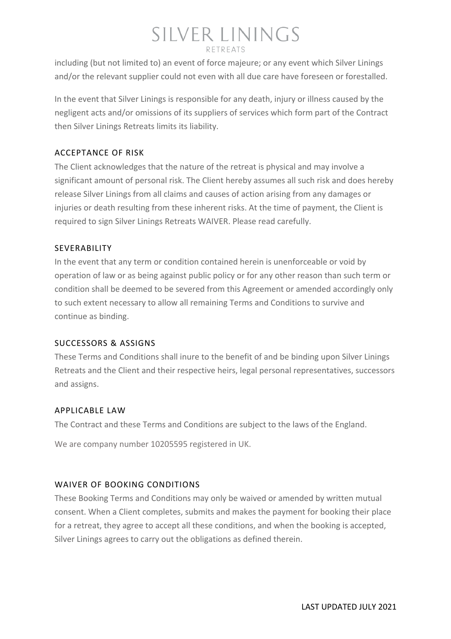including (but not limited to) an event of force majeure; or any event which Silver Linings and/or the relevant supplier could not even with all due care have foreseen or forestalled.

In the event that Silver Linings is responsible for any death, injury or illness caused by the negligent acts and/or omissions of its suppliers of services which form part of the Contract then Silver Linings Retreats limits its liability.

#### ACCEPTANCE OF RISK

The Client acknowledges that the nature of the retreat is physical and may involve a significant amount of personal risk. The Client hereby assumes all such risk and does hereby release Silver Linings from all claims and causes of action arising from any damages or injuries or death resulting from these inherent risks. At the time of payment, the Client is required to sign Silver Linings Retreats WAIVER. Please read carefully.

#### SEVERABILITY

In the event that any term or condition contained herein is unenforceable or void by operation of law or as being against public policy or for any other reason than such term or condition shall be deemed to be severed from this Agreement or amended accordingly only to such extent necessary to allow all remaining Terms and Conditions to survive and continue as binding.

#### SUCCESSORS & ASSIGNS

These Terms and Conditions shall inure to the benefit of and be binding upon Silver Linings Retreats and the Client and their respective heirs, legal personal representatives, successors and assigns.

#### APPLICABLE LAW

The Contract and these Terms and Conditions are subject to the laws of the England.

We are company number 10205595 registered in UK.

#### WAIVER OF BOOKING CONDITIONS

These Booking Terms and Conditions may only be waived or amended by written mutual consent. When a Client completes, submits and makes the payment for booking their place for a retreat, they agree to accept all these conditions, and when the booking is accepted, Silver Linings agrees to carry out the obligations as defined therein.